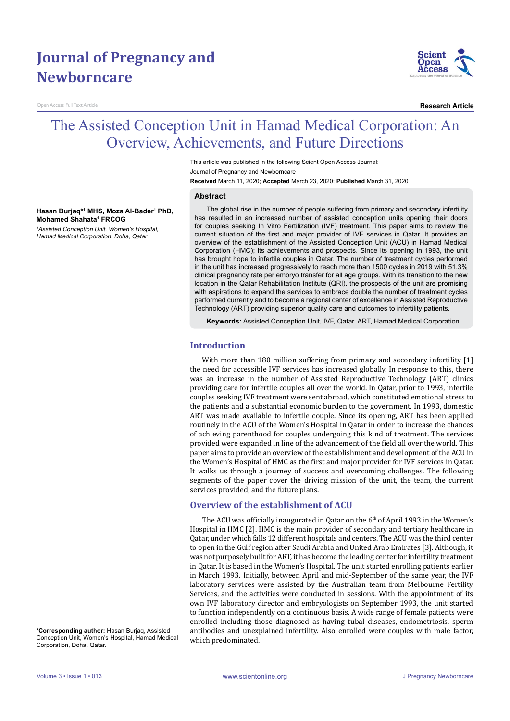# **Journal of Pregnancy and Newborncare**

Open Access Full Text Article



**Research Article**

## The Assisted Conception Unit in Hamad Medical Corporation: An Overview, Achievements, and Future Directions

This article was published in the following Scient Open Access Journal: Journal of Pregnancy and Newborncare **Received** March 11, 2020; **Accepted** March 23, 2020; **Published** March 31, 2020

#### **Abstract**

**Hasan Burjaq\*1 MHS, Moza Al-Bader1 PhD, Mohamed Shahata1 FRCOG** *1 Assisted Conception Unit, Women's Hospital, Hamad Medical Corporation, Doha, Qatar*

The global rise in the number of people suffering from primary and secondary infertility has resulted in an increased number of assisted conception units opening their doors for couples seeking In Vitro Fertilization (IVF) treatment. This paper aims to review the current situation of the first and major provider of IVF services in Qatar. It provides an overview of the establishment of the Assisted Conception Unit (ACU) in Hamad Medical Corporation (HMC); its achievements and prospects. Since its opening in 1993, the unit has brought hope to infertile couples in Qatar. The number of treatment cycles performed in the unit has increased progressively to reach more than 1500 cycles in 2019 with 51.3% clinical pregnancy rate per embryo transfer for all age groups. With its transition to the new location in the Qatar Rehabilitation Institute (QRI), the prospects of the unit are promising with aspirations to expand the services to embrace double the number of treatment cycles performed currently and to become a regional center of excellence in Assisted Reproductive Technology (ART) providing superior quality care and outcomes to infertility patients.

**Keywords:** Assisted Conception Unit, IVF, Qatar, ART, Hamad Medical Corporation

#### **Introduction**

With more than 180 million suffering from primary and secondary infertility [1] the need for accessible IVF services has increased globally. In response to this, there was an increase in the number of Assisted Reproductive Technology (ART) clinics providing care for infertile couples all over the world. In Qatar, prior to 1993, infertile couples seeking IVF treatment were sent abroad, which constituted emotional stress to the patients and a substantial economic burden to the government. In 1993, domestic ART was made available to infertile couple. Since its opening, ART has been applied routinely in the ACU of the Women's Hospital in Qatar in order to increase the chances of achieving parenthood for couples undergoing this kind of treatment. The services provided were expanded in line of the advancement of the field all over the world. This paper aims to provide an overview of the establishment and development of the ACU in the Women's Hospital of HMC as the first and major provider for IVF services in Qatar. It walks us through a journey of success and overcoming challenges. The following segments of the paper cover the driving mission of the unit, the team, the current services provided, and the future plans.

#### **Overview of the establishment of ACU**

The ACU was officially inaugurated in Qatar on the  $6<sup>th</sup>$  of April 1993 in the Women's Hospital in HMC [2]. HMC is the main provider of secondary and tertiary healthcare in Qatar, under which falls 12 different hospitals and centers. The ACU was the third center to open in the Gulf region after Saudi Arabia and United Arab Emirates [3]. Although, it was not purposely built for ART, it has become the leading center for infertility treatment in Qatar. It is based in the Women's Hospital. The unit started enrolling patients earlier in March 1993. Initially, between April and mid-September of the same year, the IVF laboratory services were assisted by the Australian team from Melbourne Fertility Services, and the activities were conducted in sessions. With the appointment of its own IVF laboratory director and embryologists on September 1993, the unit started to function independently on a continuous basis. A wide range of female patients were enrolled including those diagnosed as having tubal diseases, endometriosis, sperm antibodies and unexplained infertility. Also enrolled were couples with male factor, which predominated.

**\*Corresponding author:** Hasan Burjaq, Assisted Conception Unit, Women's Hospital, Hamad Medical Corporation, Doha, Qatar.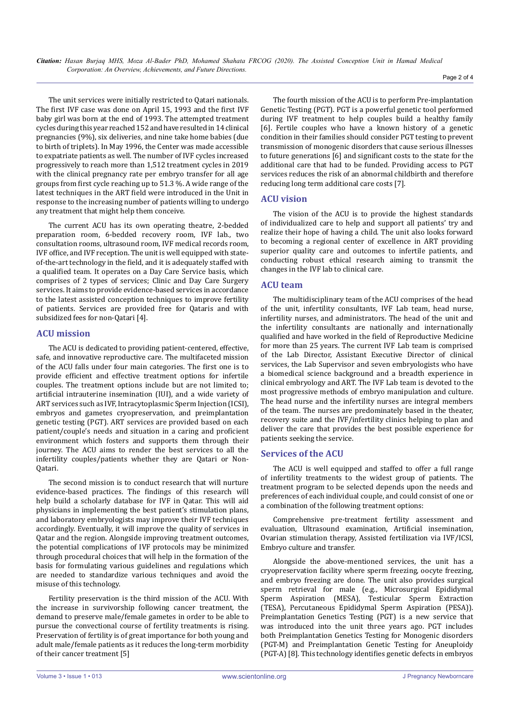*Citation: Hasan Burjaq MHS, Moza Al-Bader PhD, Mohamed Shahata FRCOG (2020). The Assisted Conception Unit in Hamad Medical Corporation: An Overview, Achievements, and Future Directions.*

The unit services were initially restricted to Qatari nationals. The first IVF case was done on April 15, 1993 and the first IVF baby girl was born at the end of 1993. The attempted treatment cycles during this year reached 152 and have resulted in 14 clinical pregnancies (9%), six deliveries, and nine take home babies (due to birth of triplets). In May 1996, the Center was made accessible to expatriate patients as well. The number of IVF cycles increased progressively to reach more than 1,512 treatment cycles in 2019 with the clinical pregnancy rate per embryo transfer for all age groups from first cycle reaching up to 51.3 %. A wide range of the latest techniques in the ART field were introduced in the Unit in response to the increasing number of patients willing to undergo any treatment that might help them conceive.

The current ACU has its own operating theatre, 2-bedded preparation room, 6-bedded recovery room, IVF lab., two consultation rooms, ultrasound room, IVF medical records room, IVF office, and IVF reception. The unit is well equipped with stateof-the-art technology in the field, and it is adequately staffed with a qualified team. It operates on a Day Care Service basis, which comprises of 2 types of services; Clinic and Day Care Surgery services. It aims to provide evidence-based services in accordance to the latest assisted conception techniques to improve fertility of patients. Services are provided free for Qataris and with subsidized fees for non-Qatari [4].

#### **ACU mission**

The ACU is dedicated to providing patient-centered, effective, safe, and innovative reproductive care. The multifaceted mission of the ACU falls under four main categories. The first one is to provide efficient and effective treatment options for infertile couples. The treatment options include but are not limited to; artificial intrauterine insemination (IUI), and a wide variety of ART services such as IVF, Intracytoplasmic Sperm Injection (ICSI), embryos and gametes cryopreservation, and preimplantation genetic testing (PGT). ART services are provided based on each patient/couple's needs and situation in a caring and proficient environment which fosters and supports them through their journey. The ACU aims to render the best services to all the infertility couples/patients whether they are Qatari or Non-Qatari.

The second mission is to conduct research that will nurture evidence-based practices. The findings of this research will help build a scholarly database for IVF in Qatar. This will aid physicians in implementing the best patient's stimulation plans, and laboratory embryologists may improve their IVF techniques accordingly. Eventually, it will improve the quality of services in Qatar and the region. Alongside improving treatment outcomes, the potential complications of IVF protocols may be minimized through procedural choices that will help in the formation of the basis for formulating various guidelines and regulations which are needed to standardize various techniques and avoid the misuse of this technology.

Fertility preservation is the third mission of the ACU. With the increase in survivorship following cancer treatment, the demand to preserve male/female gametes in order to be able to pursue the convectional course of fertility treatments is rising. Preservation of fertility is of great importance for both young and adult male/female patients as it reduces the long-term morbidity of their cancer treatment [5]

The fourth mission of the ACU is to perform Pre-implantation Genetic Testing (PGT). PGT is a powerful genetic tool performed during IVF treatment to help couples build a healthy family [6]. Fertile couples who have a known history of a genetic condition in their families should consider PGT testing to prevent transmission of monogenic disorders that cause serious illnesses to future generations [6] and significant costs to the state for the additional care that had to be funded. Providing access to PGT services reduces the risk of an abnormal childbirth and therefore reducing long term additional care costs [7].

#### **ACU vision**

The vision of the ACU is to provide the highest standards of individualized care to help and support all patients' try and realize their hope of having a child. The unit also looks forward to becoming a regional center of excellence in ART providing superior quality care and outcomes to infertile patients, and conducting robust ethical research aiming to transmit the changes in the IVF lab to clinical care.

#### **ACU team**

The multidisciplinary team of the ACU comprises of the head of the unit, infertility consultants, IVF Lab team, head nurse, infertility nurses, and administrators. The head of the unit and the infertility consultants are nationally and internationally qualified and have worked in the field of Reproductive Medicine for more than 25 years. The current IVF Lab team is comprised of the Lab Director, Assistant Executive Director of clinical services, the Lab Supervisor and seven embryologists who have a biomedical science background and a breadth experience in clinical embryology and ART. The IVF Lab team is devoted to the most progressive methods of embryo manipulation and culture. The head nurse and the infertility nurses are integral members of the team. The nurses are predominately based in the theater, recovery suite and the IVF/infertility clinics helping to plan and deliver the care that provides the best possible experience for patients seeking the service.

#### **Services of the ACU**

The ACU is well equipped and staffed to offer a full range of infertility treatments to the widest group of patients. The treatment program to be selected depends upon the needs and preferences of each individual couple, and could consist of one or a combination of the following treatment options:

Comprehensive pre-treatment fertility assessment and evaluation, Ultrasound examination, Artificial insemination, Ovarian stimulation therapy, Assisted fertilization via IVF/ICSI, Embryo culture and transfer.

Alongside the above-mentioned services, the unit has a cryopreservation facility where sperm freezing, oocyte freezing, and embryo freezing are done. The unit also provides surgical sperm retrieval for male (e.g., Microsurgical Epididymal Sperm Aspiration (MESA), Testicular Sperm Extraction (TESA), Percutaneous Epididymal Sperm Aspiration (PESA)). Preimplantation Genetics Testing (PGT) is a new service that was introduced into the unit three years ago. PGT includes both Preimplantation Genetics Testing for Monogenic disorders (PGT-M) and Preimplantation Genetic Testing for Aneuploidy (PGT-A) [8]. This technology identifies genetic defects in embryos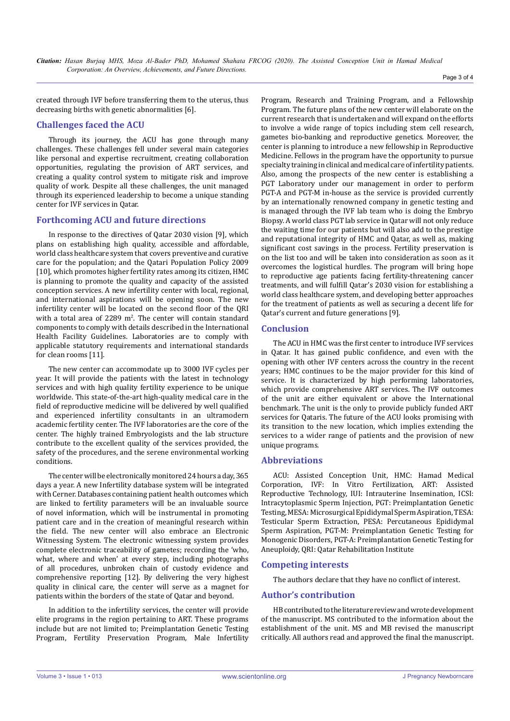created through IVF before transferring them to the uterus, thus decreasing births with genetic abnormalities [6].

## **Challenges faced the ACU**

Through its journey, the ACU has gone through many challenges. These challenges fell under several main categories like personal and expertise recruitment, creating collaboration opportunities, regulating the provision of ART services, and creating a quality control system to mitigate risk and improve quality of work. Despite all these challenges, the unit managed through its experienced leadership to become a unique standing center for IVF services in Qatar.

### **Forthcoming ACU and future directions**

In response to the directives of Qatar 2030 vision [9], which plans on establishing high quality, accessible and affordable, world class healthcare system that covers preventive and curative care for the population; and the Qatari Population Policy 2009 [10], which promotes higher fertility rates among its citizen, HMC is planning to promote the quality and capacity of the assisted conception services. A new infertility center with local, regional, and international aspirations will be opening soon. The new infertility center will be located on the second floor of the QRI with a total area of  $2289$  m<sup>2</sup>. The center will contain standard components to comply with details described in the International Health Facility Guidelines. Laboratories are to comply with applicable statutory requirements and international standards for clean rooms [11].

The new center can accommodate up to 3000 IVF cycles per year. It will provide the patients with the latest in technology services and with high quality fertility experience to be unique worldwide. This state-of-the-art high-quality medical care in the field of reproductive medicine will be delivered by well qualified and experienced infertility consultants in an ultramodern academic fertility center. The IVF laboratories are the core of the center. The highly trained Embryologists and the lab structure contribute to the excellent quality of the services provided, the safety of the procedures, and the serene environmental working conditions.

The center will be electronically monitored 24 hours a day, 365 days a year. A new Infertility database system will be integrated with Cerner. Databases containing patient health outcomes which are linked to fertility parameters will be an invaluable source of novel information, which will be instrumental in promoting patient care and in the creation of meaningful research within the field. The new center will also embrace an Electronic Witnessing System. The electronic witnessing system provides complete electronic traceability of gametes; recording the 'who, what, where and when' at every step, including photographs of all procedures, unbroken chain of custody evidence and comprehensive reporting [12]. By delivering the very highest quality in clinical care, the center will serve as a magnet for patients within the borders of the state of Qatar and beyond.

In addition to the infertility services, the center will provide elite programs in the region pertaining to ART. These programs include but are not limited to; Preimplantation Genetic Testing Program, Fertility Preservation Program, Male Infertility

Program, Research and Training Program, and a Fellowship Program. The future plans of the new center will elaborate on the current research that is undertaken and will expand on the efforts to involve a wide range of topics including stem cell research, gametes bio-banking and reproductive genetics. Moreover, the center is planning to introduce a new fellowship in Reproductive Medicine. Fellows in the program have the opportunity to pursue specialty training in clinical and medical care of infertility patients. Also, among the prospects of the new center is establishing a PGT Laboratory under our management in order to perform PGT-A and PGT-M in-house as the service is provided currently by an internationally renowned company in genetic testing and is managed through the IVF lab team who is doing the Embryo Biopsy. A world class PGT lab service in Qatar will not only reduce the waiting time for our patients but will also add to the prestige and reputational integrity of HMC and Qatar, as well as, making significant cost savings in the process. Fertility preservation is on the list too and will be taken into consideration as soon as it overcomes the logistical hurdles. The program will bring hope to reproductive age patients facing fertility-threatening cancer treatments, and will fulfill Qatar's 2030 vision for establishing a world class healthcare system, and developing better approaches for the treatment of patients as well as securing a decent life for Qatar's current and future generations [9].

#### **Conclusion**

The ACU in HMC was the first center to introduce IVF services in Qatar. It has gained public confidence, and even with the opening with other IVF centers across the country in the recent years; HMC continues to be the major provider for this kind of service. It is characterized by high performing laboratories, which provide comprehensive ART services. The IVF outcomes of the unit are either equivalent or above the International benchmark. The unit is the only to provide publicly funded ART services for Qataris. The future of the ACU looks promising with its transition to the new location, which implies extending the services to a wider range of patients and the provision of new unique programs.

#### **Abbreviations**

ACU: Assisted Conception Unit, HMC: Hamad Medical Corporation, IVF: In Vitro Fertilization, ART: Assisted Reproductive Technology, IUI: Intrauterine Insemination, ICSI: Intracytoplasmic Sperm Injection, PGT: Preimplantation Genetic Testing, MESA: Microsurgical Epididymal Sperm Aspiration, TESA: Testicular Sperm Extraction, PESA: Percutaneous Epididymal Sperm Aspiration, PGT-M: Preimplantation Genetic Testing for Monogenic Disorders, PGT-A: Preimplantation Genetic Testing for Aneuploidy, QRI: Qatar Rehabilitation Institute

#### **Competing interests**

The authors declare that they have no conflict of interest.

#### **Author's contribution**

HB contributed to the literature review and wrote development of the manuscript. MS contributed to the information about the establishment of the unit. MS and MB revised the manuscript critically. All authors read and approved the final the manuscript.